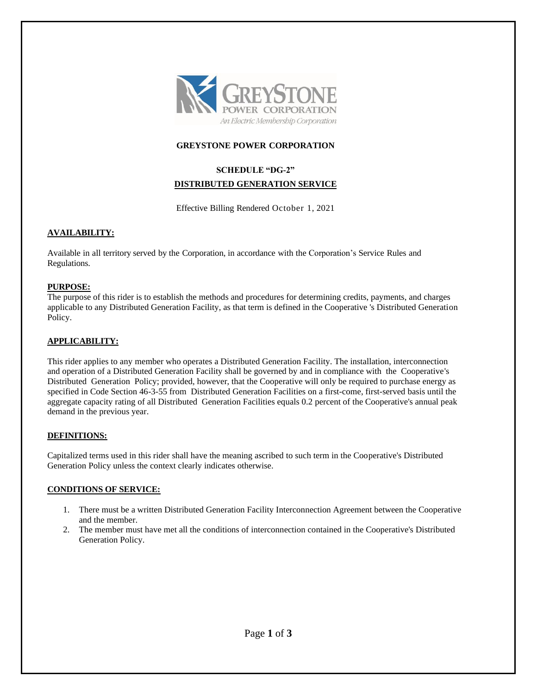

## **GREYSTONE POWER CORPORATION**

# **SCHEDULE "DG-2" DISTRIBUTED GENERATION SERVICE**

Effective Billing Rendered October 1, 2021

## **AVAILABILITY:**

Available in all territory served by the Corporation, in accordance with the Corporation's Service Rules and Regulations.

## **PURPOSE:**

The purpose of this rider is to establish the methods and procedures for determining credits, payments, and charges applicable to any Distributed Generation Facility, as that term is defined in the Cooperative 's Distributed Generation Policy.

## **APPLICABILITY:**

This rider applies to any member who operates a Distributed Generation Facility. The installation, interconnection and operation of a Distributed Generation Facility shall be governed by and in compliance with the Cooperative's Distributed Generation Policy; provided, however, that the Cooperative will only be required to purchase energy as specified in Code Section 46-3-55 from Distributed Generation Facilities on a first-come, first-served basis until the aggregate capacity rating of all Distributed Generation Facilities equals 0.2 percent of the Cooperative's annual peak demand in the previous year.

## **DEFINITIONS:**

Capitalized terms used in this rider shall have the meaning ascribed to such term in the Cooperative's Distributed Generation Policy unless the context clearly indicates otherwise.

## **CONDITIONS OF SERVICE:**

- 1. There must be a written Distributed Generation Facility Interconnection Agreement between the Cooperative and the member.
- 2. The member must have met all the conditions of interconnection contained in the Cooperative's Distributed Generation Policy.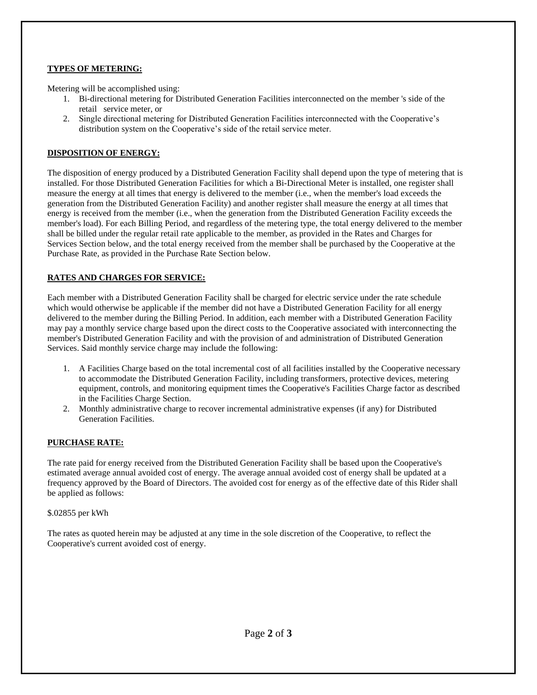# **TYPES OF METERING:**

Metering will be accomplished using:

- 1. Bi-directional metering for Distributed Generation Facilities interconnected on the member 's side of the retail service meter, or
- 2. Single directional metering for Distributed Generation Facilities interconnected with the Cooperative's distribution system on the Cooperative's side of the retail service meter.

## **DISPOSITION OF ENERGY:**

The disposition of energy produced by a Distributed Generation Facility shall depend upon the type of metering that is installed. For those Distributed Generation Facilities for which a Bi-Directional Meter is installed, one register shall measure the energy at all times that energy is delivered to the member (i.e., when the member's load exceeds the generation from the Distributed Generation Facility) and another register shall measure the energy at all times that energy is received from the member (i.e., when the generation from the Distributed Generation Facility exceeds the member's load). For each Billing Period, and regardless of the metering type, the total energy delivered to the member shall be billed under the regular retail rate applicable to the member, as provided in the Rates and Charges for Services Section below, and the total energy received from the member shall be purchased by the Cooperative at the Purchase Rate, as provided in the Purchase Rate Section below.

# **RATES AND CHARGES FOR SERVICE:**

Each member with a Distributed Generation Facility shall be charged for electric service under the rate schedule which would otherwise be applicable if the member did not have a Distributed Generation Facility for all energy delivered to the member during the Billing Period. In addition, each member with a Distributed Generation Facility may pay a monthly service charge based upon the direct costs to the Cooperative associated with interconnecting the member's Distributed Generation Facility and with the provision of and administration of Distributed Generation Services. Said monthly service charge may include the following:

- 1. A Facilities Charge based on the total incremental cost of all facilities installed by the Cooperative necessary to accommodate the Distributed Generation Facility, including transformers, protective devices, metering equipment, controls, and monitoring equipment times the Cooperative's Facilities Charge factor as described in the Facilities Charge Section.
- 2. Monthly administrative charge to recover incremental administrative expenses (if any) for Distributed Generation Facilities.

## **PURCHASE RATE:**

The rate paid for energy received from the Distributed Generation Facility shall be based upon the Cooperative's estimated average annual avoided cost of energy. The average annual avoided cost of energy shall be updated at a frequency approved by the Board of Directors. The avoided cost for energy as of the effective date of this Rider shall be applied as follows:

## \$.02855 per kWh

The rates as quoted herein may be adjusted at any time in the sole discretion of the Cooperative, to reflect the Cooperative's current avoided cost of energy.